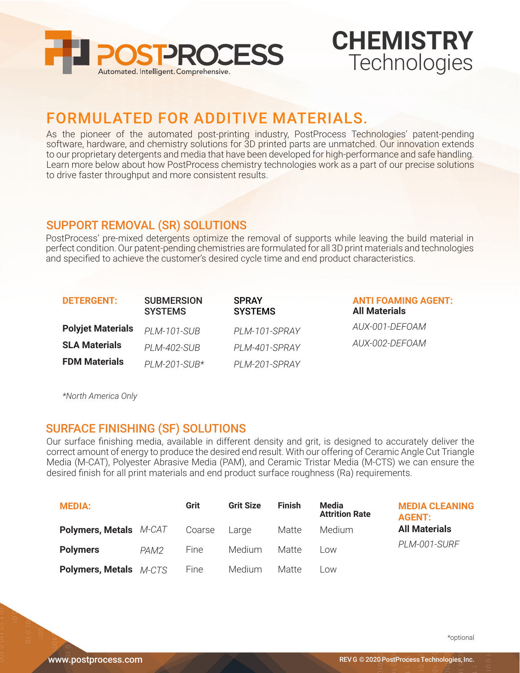

## **CHEMISTRY Technologies**

### FORMULATED FOR ADDITIVE MATERIALS.

As the pioneer of the automated post-printing industry, PostProcess Technologies' patent-pending software, hardware, and chemistry solutions for 3D printed parts are unmatched. Our innovation extends to our proprietary detergents and media that have been developed for high-performance and safe handling. Learn more below about how PostProcess chemistry technologies work as a part of our precise solutions to drive faster throughput and more consistent results.

#### SUPPORT REMOVAL (SR) SOLUTIONS

PostProcess' pre-mixed detergents optimize the removal of supports while leaving the build material in perfect condition. Our patent-pending chemistries are formulated for all 3D print materials and technologies and specified to achieve the customer's desired cycle time and end product characteristics.

| <b>DETERGENT:</b>        | <b>SUBMERSION</b><br><b>SYSTEMS</b> | <b>SPRAY</b><br><b>SYSTEMS</b> | <b>ANTI FOAMING AGENT:</b><br><b>All Materials</b> |
|--------------------------|-------------------------------------|--------------------------------|----------------------------------------------------|
| <b>Polyjet Materials</b> | <b>PLM-101-SUB</b>                  | PLM-101-SPRAY                  | AUX-001-DEFOAM                                     |
| <b>SLA Materials</b>     | PLM-402-SUB                         | PI M-401-SPRAY                 | AUX-002-DEFOAM                                     |
| <b>FDM Materials</b>     | $PLM-201-SUB*$                      | PLM-201-SPRAY                  |                                                    |

*Only America North\**

#### **SURFACE FINISHING (SF) SOLUTIONS**

Our surface finishing media, available in different density and grit, is designed to accurately deliver the correct amount of energy to produce the desired end result. With our offering of Ceramic Angle Cut Triangle Media (M-CAT), Polyester Abrasive Media (PAM), and Ceramic Tristar Media (M-CTS) we can ensure the desired finish for all print materials and end product surface roughness (Ra) requirements.

| <b>MEDIA:</b>                 |      | Grit   | <b>Grit Size</b> | Finish | Media<br><b>Attrition Rate</b> | <b>MEDIA CLEANING</b><br><b>AGENT:</b> |
|-------------------------------|------|--------|------------------|--------|--------------------------------|----------------------------------------|
| <b>Polymers, Metals</b> M-CAT |      | Coarse | Large            | Matte  | Medium                         | <b>All Materials</b><br>PLM-001-SURF   |
| <b>Polymers</b>               | PAM2 | Fine   | <b>Medium</b>    | Matte  | Low                            |                                        |
| <b>Polymers, Metals</b> M-CTS |      | Fine   | Medium           | Matte  | Low                            |                                        |